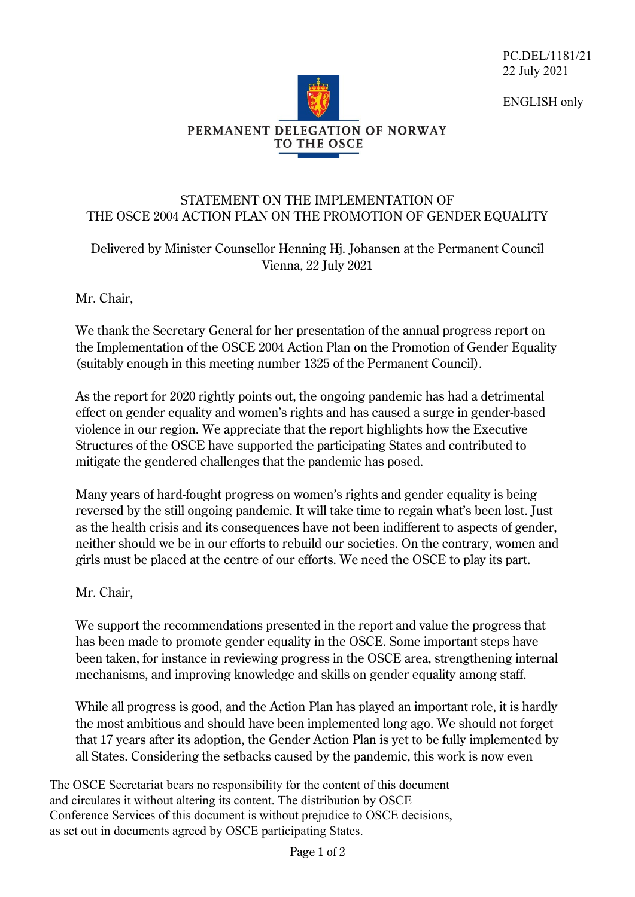PC.DEL/1181/21 22 July 2021

ENGLISH only



## STATEMENT ON THE IMPLEMENTATION OF THE OSCE 2004 ACTION PLAN ON THE PROMOTION OF GENDER EQUALITY

## Delivered by Minister Counsellor Henning Hj. Johansen at the Permanent Council Vienna, 22 July 2021

Mr. Chair,

We thank the Secretary General for her presentation of the annual progress report on the Implementation of the OSCE 2004 Action Plan on the Promotion of Gender Equality (suitably enough in this meeting number 1325 of the Permanent Council).

As the report for 2020 rightly points out, the ongoing pandemic has had a detrimental effect on gender equality and women's rights and has caused a surge in gender-based violence in our region. We appreciate that the report highlights how the Executive Structures of the OSCE have supported the participating States and contributed to mitigate the gendered challenges that the pandemic has posed.

Many years of hard-fought progress on women's rights and gender equality is being reversed by the still ongoing pandemic. It will take time to regain what's been lost. Just as the health crisis and its consequences have not been indifferent to aspects of gender, neither should we be in our efforts to rebuild our societies. On the contrary, women and girls must be placed at the centre of our efforts. We need the OSCE to play its part.

## Mr. Chair,

We support the recommendations presented in the report and value the progress that has been made to promote gender equality in the OSCE. Some important steps have been taken, for instance in reviewing progress in the OSCE area, strengthening internal mechanisms, and improving knowledge and skills on gender equality among staff.

While all progress is good, and the Action Plan has played an important role, it is hardly the most ambitious and should have been implemented long ago. We should not forget that 17 years after its adoption, the Gender Action Plan is yet to be fully implemented by all States. Considering the setbacks caused by the pandemic, this work is now even

The OSCE Secretariat bears no responsibility for the content of this document and circulates it without altering its content. The distribution by OSCE Conference Services of this document is without prejudice to OSCE decisions, as set out in documents agreed by OSCE participating States.